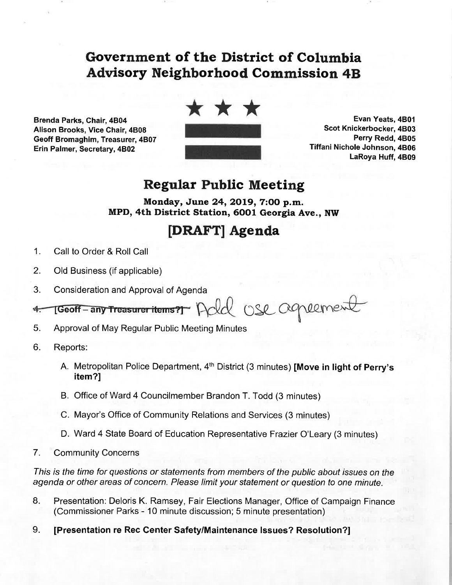## Government of the District of Columbía Advisory Neighborhood Commission 48

Brenda Parks, Chair, 4804 Alison Brooks, Vice Chair, 4B08 Geoff Bromaghim, Treasurer, 4B07 Erin Palmer, Secretary, 4B02



Evan Yeats,4801 Scot Knickerbocker, 4803 Perry Redd, 4B05 Tiffani Nichole Johnson, 4806 LaRoya Huff, 4B09

## Regular Public Meeting

Monday, June 24, 2019, 7:00 p.m. MPD, 4th District Station, 60Ol Georgia Ave., NW

## IDRAFTI Agenda

- 1. Call to Order & Roll Call
- 2. Old Business (if applicable)
- 3. Consideration and Approval of Agenda

recort-any Treasurer items? Add use agreement  $4 -$ 

- 5. Approval of May Regular Public Meeting Minutes
- 6. Reports:
	- A. Metropolitan Police Department, 4<sup>th</sup> District (3 minutes) **[Move in light of Perry's** item?l
	- B. Office of Ward 4 Councilmember Brandon T. Todd (3 minutes)
	- C. Mayor's Office of Community Relations and Services (3 minutes)
	- D. Ward 4 State Board of Education Representative Frazier O'Leary (3 minutes)
- 7. Community Concerns

This is the time for questions or statements from members of the public about issues on the agenda or other areas of concern. Please limit your statement or question to one minute.

- 8. Presentation: Deloris K. Ramsey, Fair Elections Manager, Office of Campaign Finance (Commissioner Parks - 10 minute discussion; 5 minute presentation)
- 9. [Presentation re Rec Center Safety/Maintenance lssues? Resolution?]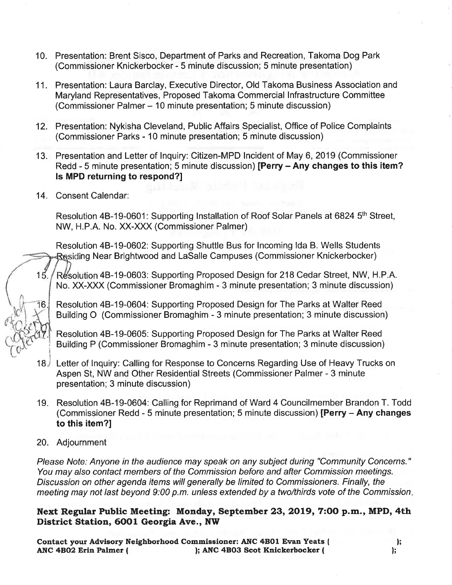- 10. Presentation: Brent Sisco, Department of Parks and Recreation, Takoma Dog Park (Commissioner Knickerbocker - 5 minute discussion; 5 minute presentation)
- 11. Presentation: Laura Barclay, Executive Director, Old Takoma Business Association and Maryland Representatives, Proposed Takoma Commercial Infrastructure Committee (Commissioner Palmer - 10 minute presentation; 5 minute discussion)
- 12. Presentation: Nykisha Cleveland, Public Affairs Specialist, Office of Police Complaints (Commissioner Parks - 10 minute presentation; 5 minute discussion)
- 13. Presentation and Letter of lnquiry: Citizen-MPD lncident of May 6, 2019 (Commissioner Redd - 5 minute presentation; 5 minute discussion) [Perry - Any changes to this item? ls MPD returning to respond?l
- 14. Consent Calendar:

Resolution 4B-19-0601: Supporting Installation of Roof Solar Panels at 6824 5<sup>th</sup> Street, NW, H.P.A. No. XX-XXX (Commissioner Palmer)

Resolution 48-19-0602: Supporting Shuttle Bus for lncoming lda B. Wells Students Residing Near Brightwood and LaSalle Campuses (Commissioner Knickerbocker)

15. Resolution 4B-19-0603: Supporting Proposed Design for 218 Cedar Street, NW, H.P.A. No. XX-XXX (Commissioner Bromaghim - 3 minute presentation; 3 minute discussion)

Resolution 4B-19-0604: Supporting Proposed Design for The Parks at Walter Reed Building O (Commissioner Bromaghim - 3 minute presentation; 3 minute discussion)

Resolution 48-19-0605: Supporting Proposed Design for The Parks at Walter Reed Building P (Commissioner Bromaghim - 3 minute presentation; 3 minute discussion)

- Letter of lnquiry: Calling for Response to Concerns Regarding Use of Heavy Trucks on 18 Aspen St, NW and Other Residential Streets (Commissioner Palmer - 3 minute presentation; 3 minute discussion) i j
- 19. Resolution 4B-19-0604: Calling for Reprimand of Ward 4 Councilmember Brandon T. Todd (Commissioner Redd - 5 minute presentation; 5 minute discussion) [Perry - Any changes to this item?l
- 20. Adjournment

Please Note: Anyone in the audience may speak on any subject during "Community Concerns." You may also contact members of the Commission before and after Commission meetings. Discussion on other agenda items will generally be limited to Commissioners. Finally, the meeting may not last beyond  $9:00$  p.m. unless extended by a two/thirds vote of the Commission.

Next Regular Public Meeting: Monday, September 23, 2019, 7:00 p.m., MPD, 4th District Station, 6001 Georgia Ave., NW

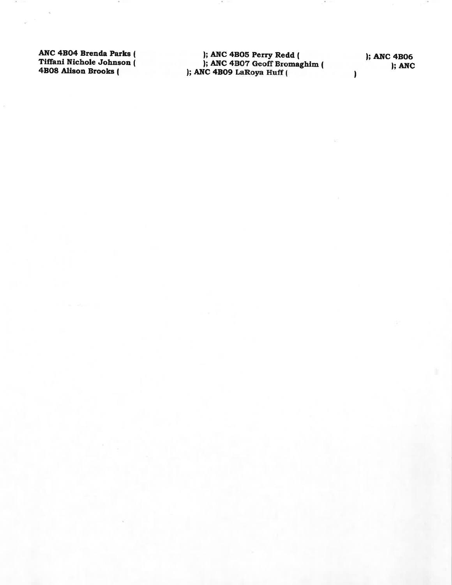ANC 4B04 Brenda Parks ( Tiffani Nichole Johnson (<br>4B08 Alison Brooks ( ); ANC 4B05 Perry Redd (
); ANC 4B06<br>
); ANC 4B07 Geoff Bromaghim (
); ANC 4B09 LaRoya Huff (
)

); ANC